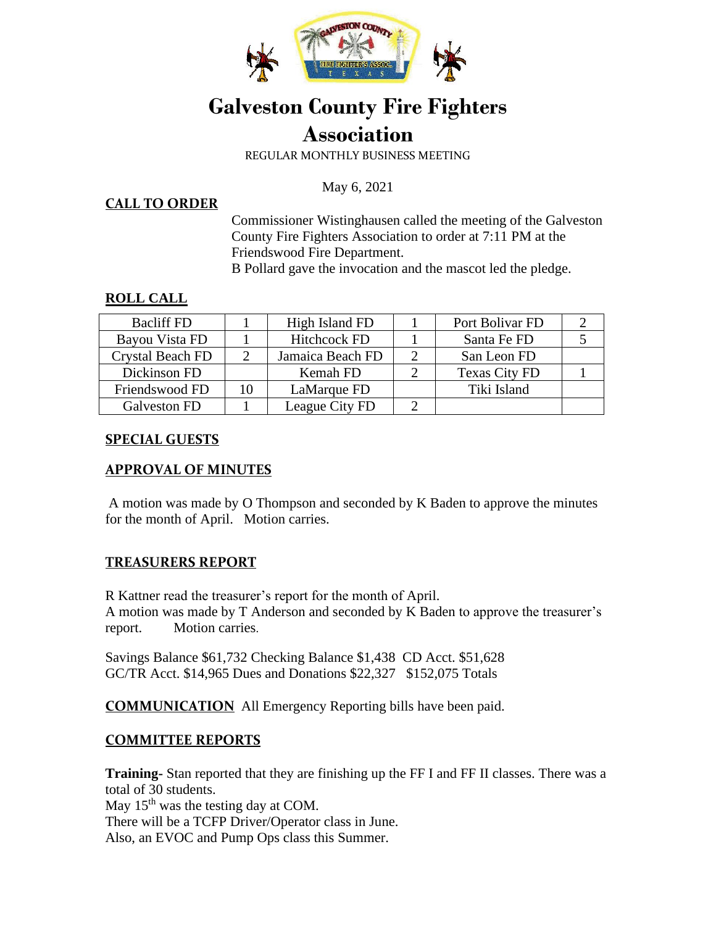

# **Galveston County Fire Fighters Association**

REGULAR MONTHLY BUSINESS MEETING

May 6, 2021

#### **CALL TO ORDER**

Commissioner Wistinghausen called the meeting of the Galveston County Fire Fighters Association to order at 7:11 PM at the Friendswood Fire Department.

B Pollard gave the invocation and the mascot led the pledge.

#### **ROLL CALL**

| <b>Bacliff FD</b>       |    | High Island FD      | Port Bolivar FD      |  |
|-------------------------|----|---------------------|----------------------|--|
| Bayou Vista FD          |    | <b>Hitchcock FD</b> | Santa Fe FD          |  |
| <b>Crystal Beach FD</b> |    | Jamaica Beach FD    | San Leon FD          |  |
| Dickinson FD            |    | Kemah FD            | <b>Texas City FD</b> |  |
| Friendswood FD          | 10 | LaMarque FD         | Tiki Island          |  |
| Galveston FD            |    | League City FD      |                      |  |

#### **SPECIAL GUESTS**

# **APPROVAL OF MINUTES**

A motion was made by O Thompson and seconded by K Baden to approve the minutes for the month of April. Motion carries.

# **TREASURERS REPORT**

R Kattner read the treasurer's report for the month of April. A motion was made by T Anderson and seconded by K Baden to approve the treasurer's report. Motion carries.

Savings Balance \$61,732 Checking Balance \$1,438 CD Acct. \$51,628 GC/TR Acct. \$14,965 Dues and Donations \$22,327 \$152,075 Totals

**COMMUNICATION** All Emergency Reporting bills have been paid.

# **COMMITTEE REPORTS**

**Training-** Stan reported that they are finishing up the FF I and FF II classes. There was a total of 30 students.

May  $15<sup>th</sup>$  was the testing day at COM. There will be a TCFP Driver/Operator class in June. Also, an EVOC and Pump Ops class this Summer.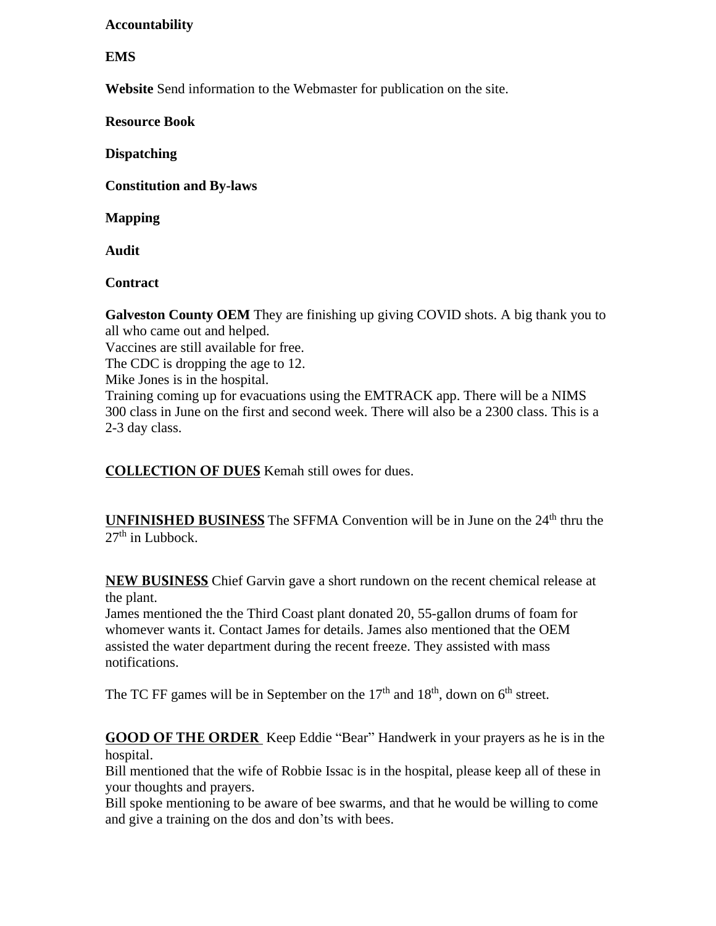### **Accountability**

#### **EMS**

**Website** Send information to the Webmaster for publication on the site.

**Resource Book** 

**Dispatching** 

**Constitution and By-laws** 

**Mapping** 

**Audit** 

**Contract** 

**Galveston County OEM** They are finishing up giving COVID shots. A big thank you to all who came out and helped.

Vaccines are still available for free.

The CDC is dropping the age to 12.

Mike Jones is in the hospital.

Training coming up for evacuations using the EMTRACK app. There will be a NIMS 300 class in June on the first and second week. There will also be a 2300 class. This is a 2-3 day class.

**COLLECTION OF DUES** Kemah still owes for dues.

**UNFINISHED BUSINESS** The SFFMA Convention will be in June on the 24<sup>th</sup> thru the  $27<sup>th</sup>$  in Lubbock.

**NEW BUSINESS** Chief Garvin gave a short rundown on the recent chemical release at the plant.

James mentioned the the Third Coast plant donated 20, 55-gallon drums of foam for whomever wants it. Contact James for details. James also mentioned that the OEM assisted the water department during the recent freeze. They assisted with mass notifications.

The TC FF games will be in September on the  $17<sup>th</sup>$  and  $18<sup>th</sup>$ , down on  $6<sup>th</sup>$  street.

**GOOD OF THE ORDER** Keep Eddie "Bear" Handwerk in your prayers as he is in the hospital.

Bill mentioned that the wife of Robbie Issac is in the hospital, please keep all of these in your thoughts and prayers.

Bill spoke mentioning to be aware of bee swarms, and that he would be willing to come and give a training on the dos and don'ts with bees.